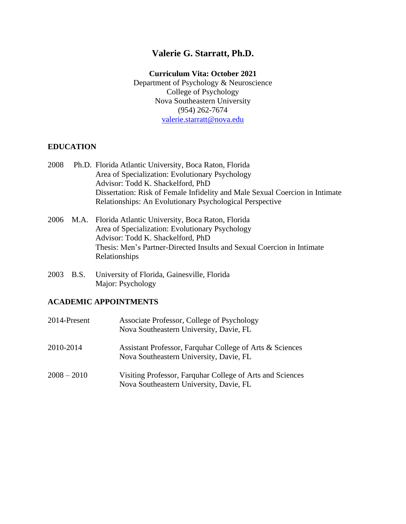# **Valerie G. Starratt, Ph.D.**

# **Curriculum Vita: October 2021**

Department of Psychology & Neuroscience College of Psychology Nova Southeastern University (954) 262-7674 [valerie.starratt@nova.edu](mailto:valerie.starratt@nova.edu)

# **EDUCATION**

- 2008 Ph.D. Florida Atlantic University, Boca Raton, Florida Area of Specialization: Evolutionary Psychology Advisor: Todd K. Shackelford, PhD Dissertation: Risk of Female Infidelity and Male Sexual Coercion in Intimate Relationships: An Evolutionary Psychological Perspective
- 2006 M.A. Florida Atlantic University, Boca Raton, Florida Area of Specialization: Evolutionary Psychology Advisor: Todd K. Shackelford, PhD Thesis: Men's Partner-Directed Insults and Sexual Coercion in Intimate Relationships
- 2003 B.S. University of Florida, Gainesville, Florida Major: Psychology

# **ACADEMIC APPOINTMENTS**

| 2014-Present | Associate Professor, College of Psychology<br>Nova Southeastern University, Davie, FL                |
|--------------|------------------------------------------------------------------------------------------------------|
| 2010-2014    | Assistant Professor, Farquhar College of Arts & Sciences<br>Nova Southeastern University, Davie, FL  |
| 2008 – 2010  | Visiting Professor, Farquhar College of Arts and Sciences<br>Nova Southeastern University, Davie, FL |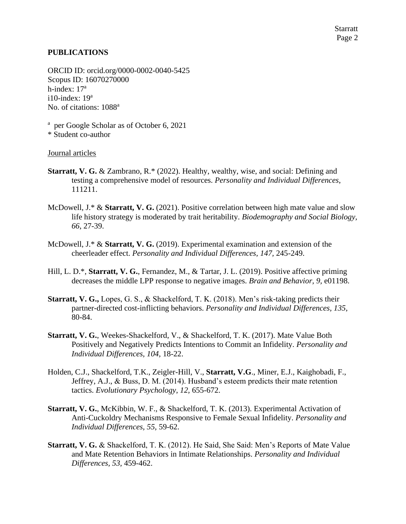### **PUBLICATIONS**

ORCID ID: orcid.org/0000-0002-0040-5425 Scopus ID: 16070270000 h-index: 17<sup>a</sup>  $i10$ -index:  $19^a$ No. of citations: 1088<sup>a</sup>

a per Google Scholar as of October 6, 2021

\* Student co-author

### Journal articles

- **Starratt, V. G.** & Zambrano, R.\* (2022). Healthy, wealthy, wise, and social: Defining and testing a comprehensive model of resources. *Personality and Individual Differences*, 111211.
- McDowell, J.\* & **Starratt, V. G.** (2021). Positive correlation between high mate value and slow life history strategy is moderated by trait heritability. *Biodemography and Social Biology, 66*, 27-39.
- McDowell, J.\* & **Starratt, V. G.** (2019). Experimental examination and extension of the cheerleader effect. *Personality and Individual Differences, 147,* 245-249.
- Hill, L. D.\*, **Starratt, V. G.**, Fernandez, M., & Tartar, J. L. (2019). Positive affective priming decreases the middle LPP response to negative images. *Brain and Behavior, 9,* e01198.
- **Starratt, V. G.,** Lopes, G. S., & Shackelford, T. K. (2018). Men's risk-taking predicts their partner-directed cost-inflicting behaviors. *Personality and Individual Differences, 135,* 80-84.
- **Starratt, V. G.**, Weekes-Shackelford, V., & Shackelford, T. K. (2017). Mate Value Both Positively and Negatively Predicts Intentions to Commit an Infidelity. *Personality and Individual Differences, 104,* 18-22.
- Holden, C.J., Shackelford, T.K., Zeigler-Hill, V., **Starratt, V.G**., Miner, E.J., Kaighobadi, F., Jeffrey, A.J., & Buss, D. M. (2014). Husband's esteem predicts their mate retention tactics. *Evolutionary Psychology*, *12,* 655-672.
- **Starratt, V. G.**, McKibbin, W. F., & Shackelford, T. K. (2013). Experimental Activation of Anti-Cuckoldry Mechanisms Responsive to Female Sexual Infidelity. *Personality and Individual Differences, 55,* 59-62.
- **Starratt, V. G.** & Shackelford, T. K. (2012). He Said, She Said: Men's Reports of Mate Value and Mate Retention Behaviors in Intimate Relationships. *Personality and Individual Differences, 53,* 459-462.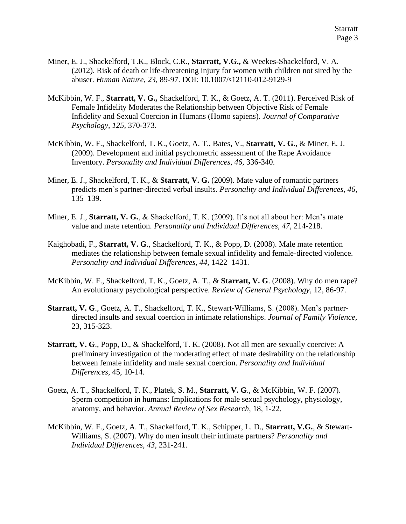- Miner, E. J., Shackelford, T.K., Block, C.R., **Starratt, V.G.,** & Weekes-Shackelford, V. A. (2012). Risk of death or life-threatening injury for women with children not sired by the abuser. *Human Nature, 23,* 89-97. DOI: 10.1007/s12110-012-9129-9
- McKibbin, W. F., **Starratt, V. G.,** Shackelford, T. K., & Goetz, A. T. (2011). Perceived Risk of Female Infidelity Moderates the Relationship between Objective Risk of Female Infidelity and Sexual Coercion in Humans (Homo sapiens). *Journal of Comparative Psychology, 125,* 370-373.
- McKibbin, W. F., Shackelford, T. K., Goetz, A. T., Bates, V., **Starratt, V. G**., & Miner, E. J. (2009). Development and initial psychometric assessment of the Rape Avoidance Inventory. *Personality and Individual Differences, 46,* 336-340.
- Miner, E. J., Shackelford, T. K., & **Starratt, V. G.** (2009). Mate value of romantic partners predicts men's partner-directed verbal insults. *Personality and Individual Differences, 46*, 135–139.
- Miner, E. J., **Starratt, V. G.**, & Shackelford, T. K. (2009). It's not all about her: Men's mate value and mate retention. *Personality and Individual Differences, 47,* 214-218.
- Kaighobadi, F., **Starratt, V. G**., Shackelford, T. K., & Popp, D. (2008). Male mate retention mediates the relationship between female sexual infidelity and female-directed violence. *Personality and Individual Differences, 44,* 1422–1431.
- McKibbin, W. F., Shackelford, T. K., Goetz, A. T., & **Starratt, V. G**. (2008). Why do men rape? An evolutionary psychological perspective. *Review of General Psychology*, 12, 86-97.
- **Starratt, V. G**., Goetz, A. T., Shackelford, T. K., Stewart-Williams, S. (2008). Men's partnerdirected insults and sexual coercion in intimate relationships. *Journal of Family Violence*, 23, 315-323.
- **Starratt, V. G**., Popp, D., & Shackelford, T. K. (2008). Not all men are sexually coercive: A preliminary investigation of the moderating effect of mate desirability on the relationship between female infidelity and male sexual coercion. *Personality and Individual Differences*, 45, 10-14.
- Goetz, A. T., Shackelford, T. K., Platek, S. M., **Starratt, V. G**., & McKibbin, W. F. (2007). Sperm competition in humans: Implications for male sexual psychology, physiology, anatomy, and behavior. *Annual Review of Sex Research*, 18, 1-22.
- McKibbin, W. F., Goetz, A. T., Shackelford, T. K., Schipper, L. D., **Starratt, V.G.**, & Stewart-Williams, S. (2007). Why do men insult their intimate partners? *Personality and Individual Differences, 43,* 231-241.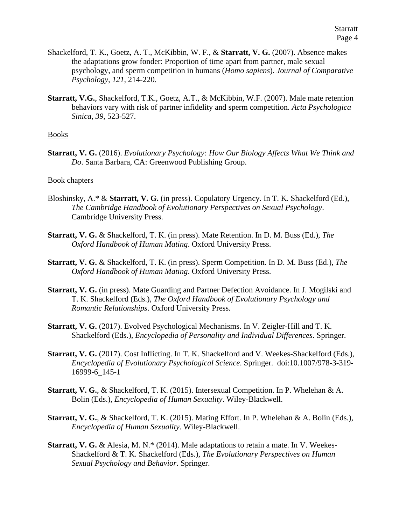- Shackelford, T. K., Goetz, A. T., McKibbin, W. F., & **Starratt, V. G.** (2007). Absence makes the adaptations grow fonder: Proportion of time apart from partner, male sexual psychology, and sperm competition in humans (*Homo sapiens*). *Journal of Comparative Psychology, 121*, 214-220.
- **Starratt, V.G.**, Shackelford, T.K., Goetz, A.T., & McKibbin, W.F. (2007). Male mate retention behaviors vary with risk of partner infidelity and sperm competition. *Acta Psychologica Sinica, 39,* 523-527.

#### Books

**Starratt, V. G.** (2016). *Evolutionary Psychology: How Our Biology Affects What We Think and Do*. Santa Barbara, CA: Greenwood Publishing Group.

#### Book chapters

- Bloshinsky, A.\* & **Starratt, V. G.** (in press). Copulatory Urgency. In T. K. Shackelford (Ed.), *The Cambridge Handbook of Evolutionary Perspectives on Sexual Psychology*. Cambridge University Press.
- **Starratt, V. G.** & Shackelford, T. K. (in press). Mate Retention. In D. M. Buss (Ed.), *The Oxford Handbook of Human Mating*. Oxford University Press.
- **Starratt, V. G.** & Shackelford, T. K. (in press). Sperm Competition. In D. M. Buss (Ed.), *The Oxford Handbook of Human Mating*. Oxford University Press.
- **Starratt, V. G.** (in press). Mate Guarding and Partner Defection Avoidance. In J. Mogilski and T. K. Shackelford (Eds.), *The Oxford Handbook of Evolutionary Psychology and Romantic Relationships*. Oxford University Press.
- **Starratt, V. G.** (2017). Evolved Psychological Mechanisms. In V. Zeigler-Hill and T. K. Shackelford (Eds.), *Encyclopedia of Personality and Individual Differences*. Springer.
- **Starratt, V. G.** (2017). Cost Inflicting. In T. K. Shackelford and V. Weekes-Shackelford (Eds.), *Encyclopedia of Evolutionary Psychological Science*. Springer. doi:10.1007/978-3-319- 16999-6\_145-1
- **Starratt, V. G.**, & Shackelford, T. K. (2015). Intersexual Competition. In P. Whelehan & A. Bolin (Eds.), *Encyclopedia of Human Sexuality*. Wiley-Blackwell.
- **Starratt, V. G.**, & Shackelford, T. K. (2015). Mating Effort. In P. Whelehan & A. Bolin (Eds.), *Encyclopedia of Human Sexuality*. Wiley-Blackwell.
- **Starratt, V. G.** & Alesia, M. N.\* (2014). Male adaptations to retain a mate. In V. Weekes-Shackelford & T. K. Shackelford (Eds.), *The Evolutionary Perspectives on Human Sexual Psychology and Behavior*. Springer.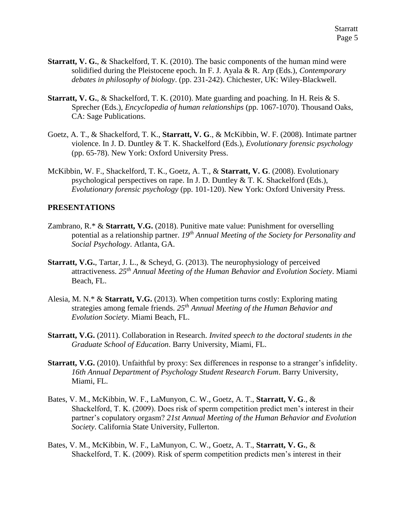- **Starratt, V. G., & Shackelford, T. K. (2010). The basic components of the human mind were** solidified during the Pleistocene epoch. In F. J. Ayala & R. Arp (Eds.), *Contemporary debates in philosophy of biology*. (pp. 231-242). Chichester, UK: Wiley-Blackwell.
- **Starratt, V. G.**, & Shackelford, T. K. (2010). Mate guarding and poaching. In H. Reis & S. Sprecher (Eds.), *Encyclopedia of human relationships* (pp. 1067-1070). Thousand Oaks, CA: Sage Publications.
- Goetz, A. T., & Shackelford, T. K., **Starratt, V. G**., & McKibbin, W. F. (2008). Intimate partner violence. In J. D. Duntley & T. K. Shackelford (Eds.), *Evolutionary forensic psychology* (pp. 65-78). New York: Oxford University Press.
- McKibbin, W. F., Shackelford, T. K., Goetz, A. T., & **Starratt, V. G**. (2008). Evolutionary psychological perspectives on rape. In J. D. Duntley  $& \mathcal{X}$  T. K. Shackelford (Eds.), *Evolutionary forensic psychology* (pp. 101-120). New York: Oxford University Press.

### **PRESENTATIONS**

- Zambrano, R.\* & **Starratt, V.G.** (2018). Punitive mate value: Punishment for overselling potential as a relationship partner. *19th Annual Meeting of the Society for Personality and Social Psychology*. Atlanta, GA.
- **Starratt, V.G.**, Tartar, J. L., & Scheyd, G. (2013). The neurophysiology of perceived attractiveness. *25th Annual Meeting of the Human Behavior and Evolution Society*. Miami Beach, FL.
- Alesia, M. N.\* & **Starratt, V.G.** (2013). When competition turns costly: Exploring mating strategies among female friends. *25th Annual Meeting of the Human Behavior and Evolution Society*. Miami Beach, FL.
- **Starratt, V.G.** (2011). Collaboration in Research. *Invited speech to the doctoral students in the Graduate School of Education*. Barry University, Miami, FL.
- **Starratt, V.G.** (2010). Unfaithful by proxy: Sex differences in response to a stranger's infidelity. *16th Annual Department of Psychology Student Research Forum*. Barry University, Miami, FL.
- Bates, V. M., McKibbin, W. F., LaMunyon, C. W., Goetz, A. T., **Starratt, V. G**., & Shackelford, T. K. (2009). Does risk of sperm competition predict men's interest in their partner's copulatory orgasm? *21st Annual Meeting of the Human Behavior and Evolution Society*. California State University, Fullerton.
- Bates, V. M., McKibbin, W. F., LaMunyon, C. W., Goetz, A. T., **Starratt, V. G.**, & Shackelford, T. K. (2009). Risk of sperm competition predicts men's interest in their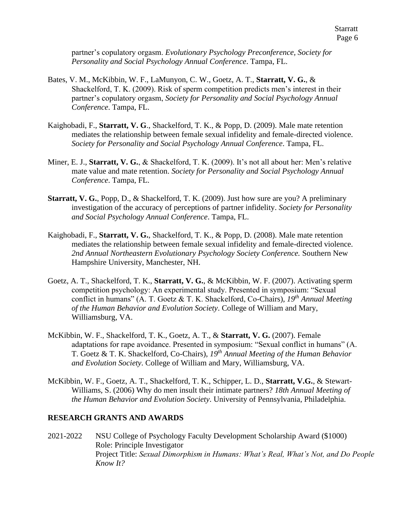partner's copulatory orgasm. *Evolutionary Psychology Preconference, Society for Personality and Social Psychology Annual Conference*. Tampa, FL.

- Bates, V. M., McKibbin, W. F., LaMunyon, C. W., Goetz, A. T., **Starratt, V. G.**, & Shackelford, T. K. (2009). Risk of sperm competition predicts men's interest in their partner's copulatory orgasm, *Society for Personality and Social Psychology Annual Conference*. Tampa, FL.
- Kaighobadi, F., **Starratt, V. G**., Shackelford, T. K., & Popp, D. (2009). Male mate retention mediates the relationship between female sexual infidelity and female-directed violence. *Society for Personality and Social Psychology Annual Conference*. Tampa, FL.
- Miner, E. J., **Starratt, V. G.**, & Shackelford, T. K. (2009). It's not all about her: Men's relative mate value and mate retention. *Society for Personality and Social Psychology Annual Conference*. Tampa, FL.
- **Starratt, V. G.**, Popp, D., & Shackelford, T. K. (2009). Just how sure are you? A preliminary investigation of the accuracy of perceptions of partner infidelity. *Society for Personality and Social Psychology Annual Conference*. Tampa, FL.
- Kaighobadi, F., **Starratt, V. G.**, Shackelford, T. K., & Popp, D. (2008). Male mate retention mediates the relationship between female sexual infidelity and female-directed violence. *2nd Annual Northeastern Evolutionary Psychology Society Conference.* Southern New Hampshire University, Manchester, NH.
- Goetz, A. T., Shackelford, T. K., **Starratt, V. G.**, & McKibbin, W. F. (2007). Activating sperm competition psychology: An experimental study. Presented in symposium: "Sexual conflict in humans" (A. T. Goetz & T. K. Shackelford, Co-Chairs), *19th Annual Meeting of the Human Behavior and Evolution Society*. College of William and Mary, Williamsburg, VA.
- McKibbin, W. F., Shackelford, T. K., Goetz, A. T., & **Starratt, V. G.** (2007). Female adaptations for rape avoidance. Presented in symposium: "Sexual conflict in humans" (A. T. Goetz & T. K. Shackelford, Co-Chairs), *19th Annual Meeting of the Human Behavior and Evolution Society*. College of William and Mary, Williamsburg, VA.
- McKibbin, W. F., Goetz, A. T., Shackelford, T. K., Schipper, L. D., **Starratt, V.G.**, & Stewart-Williams, S. (2006) Why do men insult their intimate partners? *18th Annual Meeting of the Human Behavior and Evolution Society*. University of Pennsylvania, Philadelphia.

#### **RESEARCH GRANTS AND AWARDS**

2021-2022 NSU College of Psychology Faculty Development Scholarship Award (\$1000) Role: Principle Investigator Project Title: *Sexual Dimorphism in Humans: What's Real, What's Not, and Do People Know It?*